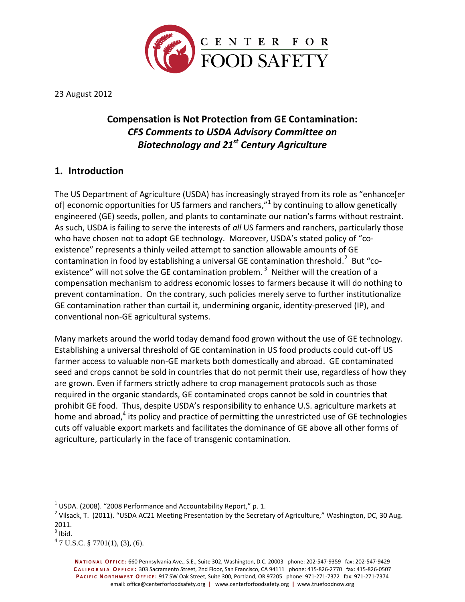

23 August 2012

# **Compensation is Not Protection from GE Contamination:** *CFS Comments to USDA Advisory Committee on Biotechnology and 21st Century Agriculture*

## **1. Introduction**

The US Department of Agriculture (USDA) has increasingly strayed from its role as "enhance[er of] economic opportunities for US farmers and ranchers,"<sup>1</sup> by continuing to allow genetically engineered (GE) seeds, pollen, and plants to contaminate our nation's farms without restraint. As such, USDA is failing to serve the interests of *all* US farmers and ranchers, particularly those who have chosen not to adopt GE technology. Moreover, USDA's stated policy of "coexistence" represents a thinly veiled attempt to sanction allowable amounts of GE contamination in food by establishing a universal GE contamination threshold.<sup>2</sup> But "coexistence" will not solve the GE contamination problem.  $^3$  Neither will the creation of a compensation mechanism to address economic losses to farmers because it will do nothing to prevent contamination. On the contrary, such policies merely serve to further institutionalize GE contamination rather than curtail it, undermining organic, identity-preserved (IP), and conventional non-GE agricultural systems.

Many markets around the world today demand food grown without the use of GE technology. Establishing a universal threshold of GE contamination in US food products could cut-off US farmer access to valuable non-GE markets both domestically and abroad. GE contaminated seed and crops cannot be sold in countries that do not permit their use, regardless of how they are grown. Even if farmers strictly adhere to crop management protocols such as those required in the organic standards, GE contaminated crops cannot be sold in countries that prohibit GE food. Thus, despite USDA's responsibility to enhance U.S. agriculture markets at home and abroad,<sup>4</sup> its policy and practice of permitting the unrestricted use of GE technologies cuts off valuable export markets and facilitates the dominance of GE above all other forms of agriculture, particularly in the face of transgenic contamination.

 $^{1}$  USDA. (2008). "2008 Performance and Accountability Report," p. 1.

<sup>&</sup>lt;sup>2</sup> Vilsack, T. (2011). "USDA AC21 Meeting Presentation by the Secretary of Agriculture," Washington, DC, 30 Aug. 2011.

 $3$  Ibid.

 $47 \text{ U.S.C. } $7701(1), (3), (6).$ 

**NA T I O N A L OF F I C E :** 660 Pennsylvania Ave., S.E., Suite 302, Washington, D.C. 20003 phone: 202-547-9359 fax: 202-547-9429 **C A L I F O R N I A O F F I C E :** 303 Sacramento Street, 2nd Floor, San Francisco, CA 94111 phone: 415-826-2770 fax: 415-826-0507 **P A C I F I C NO R T H W E S T OF F I C E :** 917 SW Oak Street, Suite 300, Portland, OR 97205 phone: 971-271-7372 fax: 971-271-7374 email: office@centerforfoodsafety.org **|** www.centerforfoodsafety.org **|** www.truefoodnow.org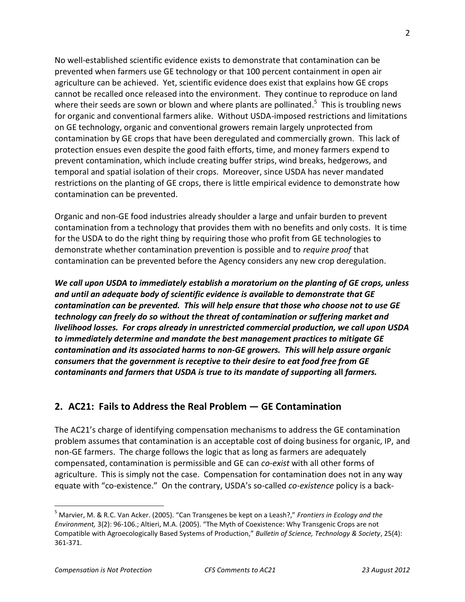No well-established scientific evidence exists to demonstrate that contamination can be prevented when farmers use GE technology or that 100 percent containment in open air agriculture can be achieved. Yet, scientific evidence does exist that explains how GE crops cannot be recalled once released into the environment. They continue to reproduce on land where their seeds are sown or blown and where plants are pollinated.<sup>5</sup> This is troubling news for organic and conventional farmers alike. Without USDA-imposed restrictions and limitations on GE technology, organic and conventional growers remain largely unprotected from contamination by GE crops that have been deregulated and commercially grown. This lack of protection ensues even despite the good faith efforts, time, and money farmers expend to prevent contamination, which include creating buffer strips, wind breaks, hedgerows, and temporal and spatial isolation of their crops. Moreover, since USDA has never mandated restrictions on the planting of GE crops, there is little empirical evidence to demonstrate how contamination can be prevented.

Organic and non-GE food industries already shoulder a large and unfair burden to prevent contamination from a technology that provides them with no benefits and only costs. It is time for the USDA to do the right thing by requiring those who profit from GE technologies to demonstrate whether contamination prevention is possible and to *require proof* that contamination can be prevented before the Agency considers any new crop deregulation.

*We call upon USDA to immediately establish a moratorium on the planting of GE crops, unless and until an adequate body of scientific evidence is available to demonstrate that GE contamination can be prevented. This will help ensure that those who choose not to use GE technology can freely do so without the threat of contamination or suffering market and livelihood losses. For crops already in unrestricted commercial production, we call upon USDA to immediately determine and mandate the best management practices to mitigate GE contamination and its associated harms to non-GE growers. This will help assure organic consumers that the government is receptive to their desire to eat food free from GE contaminants and farmers that USDA is true to its mandate of supporting* **all** *farmers.*

## **2. AC21: Fails to Address the Real Problem — GE Contamination**

The AC21's charge of identifying compensation mechanisms to address the GE contamination problem assumes that contamination is an acceptable cost of doing business for organic, IP, and non-GE farmers. The charge follows the logic that as long as farmers are adequately compensated, contamination is permissible and GE can *co-exist* with all other forms of agriculture. This is simply not the case. Compensation for contamination does not in any way equate with "co-existence." On the contrary, USDA's so-called *co-existence* policy is a back-

<sup>5</sup> Marvier, M. & R.C. Van Acker. (2005). "Can Transgenes be kept on a Leash?," *Frontiers in Ecology and the Environment,* 3(2): 96-106.; Altieri, M.A. (2005). "The Myth of Coexistence: Why Transgenic Crops are not Compatible with Agroecologically Based Systems of Production," *Bulletin of Science, Technology & Society*, 25(4): 361-371.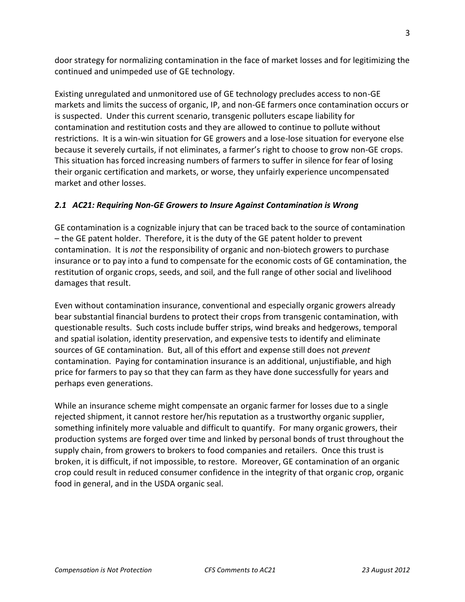door strategy for normalizing contamination in the face of market losses and for legitimizing the continued and unimpeded use of GE technology.

Existing unregulated and unmonitored use of GE technology precludes access to non-GE markets and limits the success of organic, IP, and non-GE farmers once contamination occurs or is suspected. Under this current scenario, transgenic polluters escape liability for contamination and restitution costs and they are allowed to continue to pollute without restrictions. It is a win-win situation for GE growers and a lose-lose situation for everyone else because it severely curtails, if not eliminates, a farmer's right to choose to grow non-GE crops. This situation has forced increasing numbers of farmers to suffer in silence for fear of losing their organic certification and markets, or worse, they unfairly experience uncompensated market and other losses.

### *2.1 AC21: Requiring Non-GE Growers to Insure Against Contamination is Wrong*

GE contamination is a cognizable injury that can be traced back to the source of contamination – the GE patent holder. Therefore, it is the duty of the GE patent holder to prevent contamination. It is *not* the responsibility of organic and non-biotech growers to purchase insurance or to pay into a fund to compensate for the economic costs of GE contamination, the restitution of organic crops, seeds, and soil, and the full range of other social and livelihood damages that result.

Even without contamination insurance, conventional and especially organic growers already bear substantial financial burdens to protect their crops from transgenic contamination, with questionable results. Such costs include buffer strips, wind breaks and hedgerows, temporal and spatial isolation, identity preservation, and expensive tests to identify and eliminate sources of GE contamination. But, all of this effort and expense still does not *prevent* contamination. Paying for contamination insurance is an additional, unjustifiable, and high price for farmers to pay so that they can farm as they have done successfully for years and perhaps even generations.

While an insurance scheme might compensate an organic farmer for losses due to a single rejected shipment, it cannot restore her/his reputation as a trustworthy organic supplier, something infinitely more valuable and difficult to quantify. For many organic growers, their production systems are forged over time and linked by personal bonds of trust throughout the supply chain, from growers to brokers to food companies and retailers. Once this trust is broken, it is difficult, if not impossible, to restore. Moreover, GE contamination of an organic crop could result in reduced consumer confidence in the integrity of that organic crop, organic food in general, and in the USDA organic seal.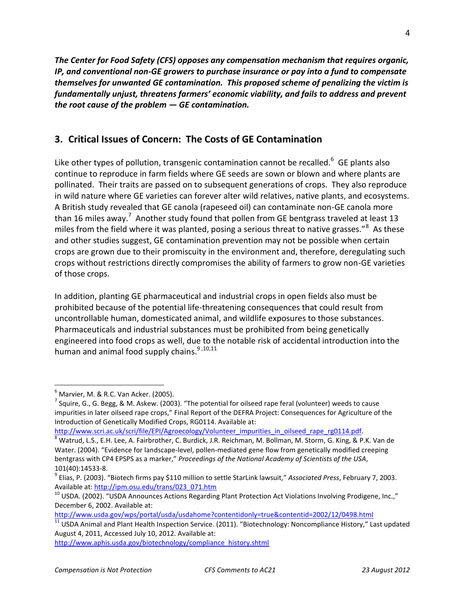*The Center for Food Safety (CFS) opposes any compensation mechanism that requires organic, IP, and conventional non-GE growers to purchase insurance or pay into a fund to compensate themselves for unwanted GE contamination. This proposed scheme of penalizing the victim is fundamentally unjust, threatens farmers' economic viability, and fails to address and prevent the root cause of the problem — GE contamination.*

## **3. Critical Issues of Concern: The Costs of GE Contamination**

Like other types of pollution, transgenic contamination cannot be recalled.<sup>6</sup> GE plants also continue to reproduce in farm fields where GE seeds are sown or blown and where plants are pollinated. Their traits are passed on to subsequent generations of crops. They also reproduce in wild nature where GE varieties can forever alter wild relatives, native plants, and ecosystems. A British study revealed that GE canola (rapeseed oil) can contaminate non-GE canola more than 16 miles away.<sup>7</sup> Another study found that pollen from GE bentgrass traveled at least 13 miles from the field where it was planted, posing a serious threat to native grasses."<sup>8</sup> As these and other studies suggest, GE contamination prevention may not be possible when certain crops are grown due to their promiscuity in the environment and, therefore, deregulating such crops without restrictions directly compromises the ability of farmers to grow non-GE varieties of those crops.

In addition, planting GE pharmaceutical and industrial crops in open fields also must be prohibited because of the potential life-threatening consequences that could result from uncontrollable human, domesticated animal, and wildlife exposures to those substances. Pharmaceuticals and industrial substances must be prohibited from being genetically engineered into food crops as well, due to the notable risk of accidental introduction into the human and animal food supply chains.<sup>9,10,11</sup>

 $<sup>6</sup>$  Marvier, M. & R.C. Van Acker. (2005).</sup>

<sup>&</sup>lt;sup>7</sup> Squire, G., G. Begg, & M. Askew. (2003). "The potential for oilseed rape feral (volunteer) weeds to cause impurities in later oilseed rape crops," Final Report of the DEFRA Project: Consequences for Agriculture of the Introduction of Genetically Modified Crops, RG0114. Available at:

[http://www.scri.ac.uk/scri/file/EPI/Agroecology/Volunteer\\_impurities\\_in\\_oilseed\\_rape\\_rg0114.pdf.](http://www.scri.ac.uk/scri/file/EPI/Agroecology/Volunteer_impurities_in_oilseed_rape_rg0114.pdf)

 $^8$  Watrud, L.S., E.H. Lee, A. Fairbrother, C. Burdick, J.R. Reichman, M. Bollman, M. Storm, G. King, & P.K. Van de Water. (2004). "Evidence for landscape-level, pollen-mediated gene flow from genetically modified creeping bentgrass with CP4 EPSPS as a marker," *Proceedings of the National Academy of Scientists of the USA*, 101(40):14533-8.

<sup>9</sup> Elias, P. (2003). "Biotech firms pay \$110 million to settle StarLink lawsuit," *Associated Press*, February 7, 2003. Available at: [http://ipm.osu.edu/trans/023\\_071.htm](http://ipm.osu.edu/trans/023_071.htm)

 $10$  USDA. (2002). "USDA Announces Actions Regarding Plant Protection Act Violations Involving Prodigene, Inc.," December 6, 2002. Available at:

[http://www.usda.gov/wps/portal/usda/usdahome?contentidonly=true&contentid=2002/12/0498.html](https://exchange.icta.org/owa/redir.aspx?C=217338cb4063414dbd774affd7b509a1&URL=http%3a%2f%2fwww.usda.gov%2fwps%2fportal%2fusda%2fusdahome%3fcontentidonly%3dtrue%26contentid%3d2002%2f12%2f0498.html)

 $\frac{11}{11}$  USDA Animal and Plant Health Inspection Service. (2011). "Biotechnology: Noncompliance History," Last updated August 4, 2011, Accessed July 10, 2012. Available at:

[http://www.aphis.usda.gov/biotechnology/compliance\\_history.shtml](https://exchange.icta.org/owa/redir.aspx?C=217338cb4063414dbd774affd7b509a1&URL=http%3a%2f%2fwww.aphis.usda.gov%2fbiotechnology%2fcompliance_history.shtml)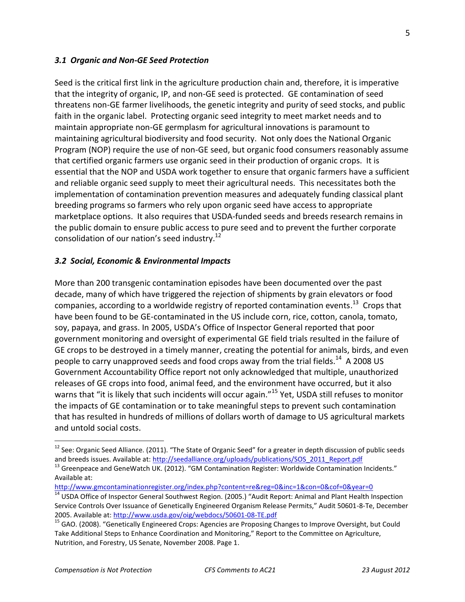#### *3.1 Organic and Non-GE Seed Protection*

Seed is the critical first link in the agriculture production chain and, therefore, it is imperative that the integrity of organic, IP, and non-GE seed is protected. GE contamination of seed threatens non-GE farmer livelihoods, the genetic integrity and purity of seed stocks, and public faith in the organic label. Protecting organic seed integrity to meet market needs and to maintain appropriate non-GE germplasm for agricultural innovations is paramount to maintaining agricultural biodiversity and food security. Not only does the National Organic Program (NOP) require the use of non-GE seed, but organic food consumers reasonably assume that certified organic farmers use organic seed in their production of organic crops. It is essential that the NOP and USDA work together to ensure that organic farmers have a sufficient and reliable organic seed supply to meet their agricultural needs. This necessitates both the implementation of contamination prevention measures and adequately funding classical plant breeding programs so farmers who rely upon organic seed have access to appropriate marketplace options. It also requires that USDA-funded seeds and breeds research remains in the public domain to ensure public access to pure seed and to prevent the further corporate consolidation of our nation's seed industry.<sup>12</sup>

#### *3.2 Social, Economic & Environmental Impacts*

More than 200 transgenic contamination episodes have been documented over the past decade, many of which have triggered the rejection of shipments by grain elevators or food companies, according to a worldwide registry of reported contamination events.<sup>13</sup> Crops that have been found to be GE-contaminated in the US include corn, rice, cotton, canola, tomato, soy, papaya, and grass. In 2005, USDA's Office of Inspector General reported that poor government monitoring and oversight of experimental GE field trials resulted in the failure of GE crops to be destroyed in a timely manner, creating the potential for animals, birds, and even people to carry unapproved seeds and food crops away from the trial fields.<sup>14</sup> A 2008 US Government Accountability Office report not only acknowledged that multiple, unauthorized releases of GE crops into food, animal feed, and the environment have occurred, but it also warns that "it is likely that such incidents will occur again."<sup>15</sup> Yet, USDA still refuses to monitor the impacts of GE contamination or to take meaningful steps to prevent such contamination that has resulted in hundreds of millions of dollars worth of damage to US agricultural markets and untold social costs.

 $^{12}$  See: Organic Seed Alliance. (2011). "The State of Organic Seed" for a greater in depth discussion of public seeds and breeds issues. Available at: [http://seedalliance.org/uploads/publications/SOS\\_2011\\_Report.pdf](http://seedalliance.org/uploads/publications/SOS_2011_Report.pdf)

<sup>&</sup>lt;sup>13</sup> Greenpeace and GeneWatch UK. (2012). "GM Contamination Register: Worldwide Contamination Incidents." Available at:

[http://www.gmcontaminationregister.org/index.php?content=re&reg=0&inc=1&con=0&cof=0&year=0](http://www.gmcontaminationregister.org/index.php?content=re®=0&inc=1&con=0&cof=0&year=0)

<sup>&</sup>lt;sup>14</sup> USDA Office of Inspector General Southwest Region. (2005.) "Audit Report: Animal and Plant Health Inspection Service Controls Over Issuance of Genetically Engineered Organism Release Permits," Audit 50601-8-Te, December 2005. Available at[: http://www.usda.gov/oig/webdocs/50601-08-TE.pdf](http://www.usda.gov/oig/webdocs/50601-08-TE.pdf)

<sup>&</sup>lt;sup>15</sup> GAO. (2008). "Genetically Engineered Crops: Agencies are Proposing Changes to Improve Oversight, but Could Take Additional Steps to Enhance Coordination and Monitoring," Report to the Committee on Agriculture, Nutrition, and Forestry, US Senate, November 2008. Page 1.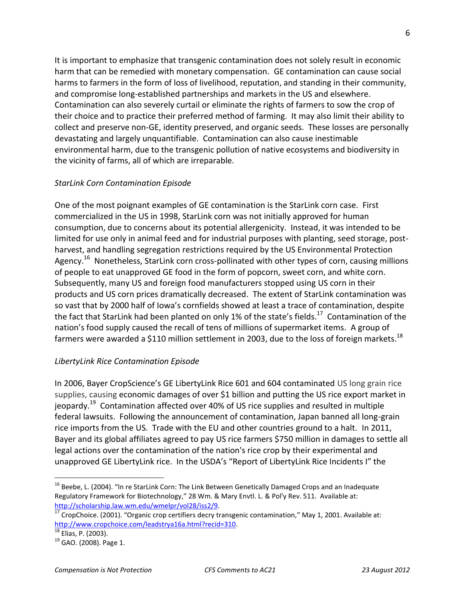It is important to emphasize that transgenic contamination does not solely result in economic harm that can be remedied with monetary compensation. GE contamination can cause social harms to farmers in the form of loss of livelihood, reputation, and standing in their community, and compromise long-established partnerships and markets in the US and elsewhere. Contamination can also severely curtail or eliminate the rights of farmers to sow the crop of their choice and to practice their preferred method of farming. It may also limit their ability to collect and preserve non-GE, identity preserved, and organic seeds. These losses are personally devastating and largely unquantifiable. Contamination can also cause inestimable environmental harm, due to the transgenic pollution of native ecosystems and biodiversity in the vicinity of farms, all of which are irreparable.

### *StarLink Corn Contamination Episode*

One of the most poignant examples of GE contamination is the StarLink corn case. First commercialized in the US in 1998, StarLink corn was not initially approved for human consumption, due to concerns about its potential allergenicity. Instead, it was intended to be limited for use only in animal feed and for industrial purposes with planting, seed storage, postharvest, and handling segregation restrictions required by the US Environmental Protection Agency.<sup>16</sup> Nonetheless, StarLink corn cross-pollinated with other types of corn, causing millions of people to eat unapproved GE food in the form of popcorn, sweet corn, and white corn. Subsequently, many US and foreign food manufacturers stopped using US corn in their products and US corn prices dramatically decreased. The extent of StarLink contamination was so vast that by 2000 half of Iowa's cornfields showed at least a trace of contamination, despite the fact that StarLink had been planted on only 1% of the state's fields.<sup>17</sup> Contamination of the nation's food supply caused the recall of tens of millions of supermarket items. A group of farmers were awarded a \$110 million settlement in 2003, due to the loss of foreign markets.<sup>18</sup>

### *LibertyLink Rice Contamination Episode*

In 2006, Bayer CropScience's GE LibertyLink Rice 601 and 604 contaminated US long grain rice supplies, causing economic damages of over \$1 billion and putting the US rice export market in jeopardy.<sup>19</sup> Contamination affected over 40% of US rice supplies and resulted in multiple federal lawsuits. Following the announcement of contamination, Japan banned all long-grain rice imports from the US. Trade with the EU and other countries ground to a halt. In 2011, Bayer and its global affiliates agreed to pay US rice farmers \$750 million in damages to settle all legal actions over the contamination of the nation's rice crop by their experimental and unapproved GE LibertyLink rice. In the USDA's "Report of LibertyLink Rice Incidents I" the

 $\overline{a}$ 

6

<sup>&</sup>lt;sup>16</sup> Beebe, L. (2004). "In re StarLink Corn: The Link Between Genetically Damaged Crops and an Inadequate Regulatory Framework for Biotechnology," 28 Wm. & Mary Envtl. L. & Pol'y Rev. 511. Available at: [http://scholarship.law.wm.edu/wmelpr/vol28/iss2/9.](http://scholarship.law.wm.edu/wmelpr/vol28/iss2/9)

 $\frac{17}{17}$  CropChoice. (2001). "Organic crop certifiers decry transgenic contamination," May 1, 2001. Available at: [http://www.cropchoice.com/leadstrya16a.html?recid=310.](http://www.cropchoice.com/leadstrya16a.html?recid=310)

 $18$  Elias, P. (2003).

 $19$  GAO. (2008). Page 1.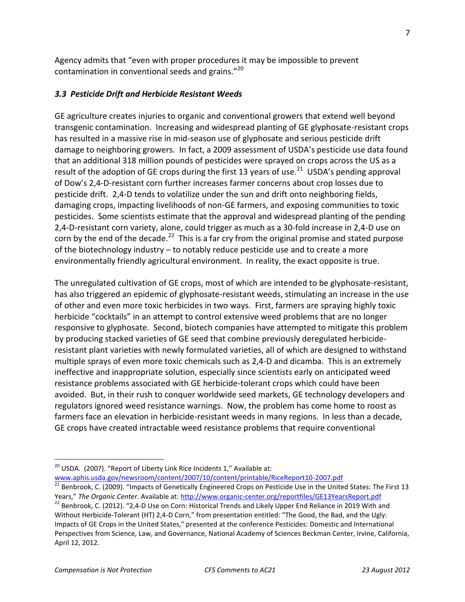Agency admits that "even with proper procedures it may be impossible to prevent contamination in conventional seeds and grains."<sup>20</sup>

#### *3.3 Pesticide Drift and Herbicide Resistant Weeds*

GE agriculture creates injuries to organic and conventional growers that extend well beyond transgenic contamination. Increasing and widespread planting of GE glyphosate-resistant crops has resulted in a massive rise in mid-season use of glyphosate and serious pesticide drift damage to neighboring growers. In fact, a 2009 assessment of USDA's pesticide use data found that an additional 318 million pounds of pesticides were sprayed on crops across the US as a result of the adoption of GE crops during the first 13 years of use.<sup>21</sup> USDA's pending approval of Dow's 2,4-D-resistant corn further increases farmer concerns about crop losses due to pesticide drift. 2,4-D tends to volatilize under the sun and drift onto neighboring fields, damaging crops, impacting livelihoods of non-GE farmers, and exposing communities to toxic pesticides. Some scientists estimate that the approval and widespread planting of the pending 2,4-D-resistant corn variety, alone, could trigger as much as a 30-fold increase in 2,4-D use on corn by the end of the decade.<sup>22</sup> This is a far cry from the original promise and stated purpose of the biotechnology industry – to notably reduce pesticide use and to create a more environmentally friendly agricultural environment. In reality, the exact opposite is true.

The unregulated cultivation of GE crops, most of which are intended to be glyphosate-resistant, has also triggered an epidemic of glyphosate-resistant weeds, stimulating an increase in the use of other and even more toxic herbicides in two ways. First, farmers are spraying highly toxic herbicide "cocktails" in an attempt to control extensive weed problems that are no longer responsive to glyphosate. Second, biotech companies have attempted to mitigate this problem by producing stacked varieties of GE seed that combine previously deregulated herbicideresistant plant varieties with newly formulated varieties, all of which are designed to withstand multiple sprays of even more toxic chemicals such as 2,4-D and dicamba. This is an extremely ineffective and inappropriate solution, especially since scientists early on anticipated weed resistance problems associated with GE herbicide-tolerant crops which could have been avoided. But, in their rush to conquer worldwide seed markets, GE technology developers and regulators ignored weed resistance warnings. Now, the problem has come home to roost as farmers face an elevation in herbicide-resistant weeds in many regions. In less than a decade, GE crops have created intractable weed resistance problems that require conventional

 $^{20}$  USDA. (2007). "Report of Liberty Link Rice Incidents 1," Available at:

[www.aphis.usda.gov/newsroom/content/2007/10/content/printable/RiceReport10-2007.pdf](http://www.aphis.usda.gov/newsroom/content/2007/10/content/printable/RiceReport10-2007.pdf)

 $^{21}$  Benbrook, C. (2009). "Impacts of Genetically Engineered Crops on Pesticide Use in the United States: The First 13 Years," *The Organic Center*. Available at:<http://www.organic-center.org/reportfiles/GE13YearsReport.pdf>

<sup>&</sup>lt;sup>22</sup> Benbrook, C. (2012). "2,4-D Use on Corn: Historical Trends and Likely Upper End Reliance in 2019 With and Without Herbicide-Tolerant (HT) 2,4-D Corn," from presentation entitled: "The Good, the Bad, and the Ugly: Impacts of GE Crops in the United States," presented at the conference Pesticides: Domestic and International Perspectives from Science, Law, and Governance, National Academy of Sciences Beckman Center, Irvine, California, April 12, 2012.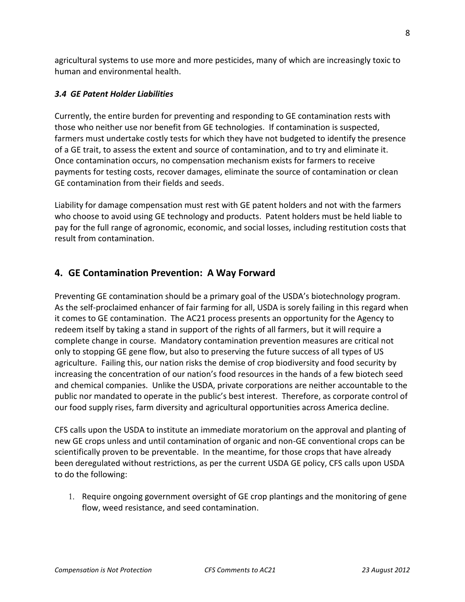agricultural systems to use more and more pesticides, many of which are increasingly toxic to human and environmental health.

#### *3.4 GE Patent Holder Liabilities*

Currently, the entire burden for preventing and responding to GE contamination rests with those who neither use nor benefit from GE technologies. If contamination is suspected, farmers must undertake costly tests for which they have not budgeted to identify the presence of a GE trait, to assess the extent and source of contamination, and to try and eliminate it. Once contamination occurs, no compensation mechanism exists for farmers to receive payments for testing costs, recover damages, eliminate the source of contamination or clean GE contamination from their fields and seeds.

Liability for damage compensation must rest with GE patent holders and not with the farmers who choose to avoid using GE technology and products. Patent holders must be held liable to pay for the full range of agronomic, economic, and social losses, including restitution costs that result from contamination.

### **4. GE Contamination Prevention: A Way Forward**

Preventing GE contamination should be a primary goal of the USDA's biotechnology program. As the self-proclaimed enhancer of fair farming for all, USDA is sorely failing in this regard when it comes to GE contamination. The AC21 process presents an opportunity for the Agency to redeem itself by taking a stand in support of the rights of all farmers, but it will require a complete change in course. Mandatory contamination prevention measures are critical not only to stopping GE gene flow, but also to preserving the future success of all types of US agriculture. Failing this, our nation risks the demise of crop biodiversity and food security by increasing the concentration of our nation's food resources in the hands of a few biotech seed and chemical companies. Unlike the USDA, private corporations are neither accountable to the public nor mandated to operate in the public's best interest. Therefore, as corporate control of our food supply rises, farm diversity and agricultural opportunities across America decline.

CFS calls upon the USDA to institute an immediate moratorium on the approval and planting of new GE crops unless and until contamination of organic and non-GE conventional crops can be scientifically proven to be preventable. In the meantime, for those crops that have already been deregulated without restrictions, as per the current USDA GE policy, CFS calls upon USDA to do the following:

1. Require ongoing government oversight of GE crop plantings and the monitoring of gene flow, weed resistance, and seed contamination.